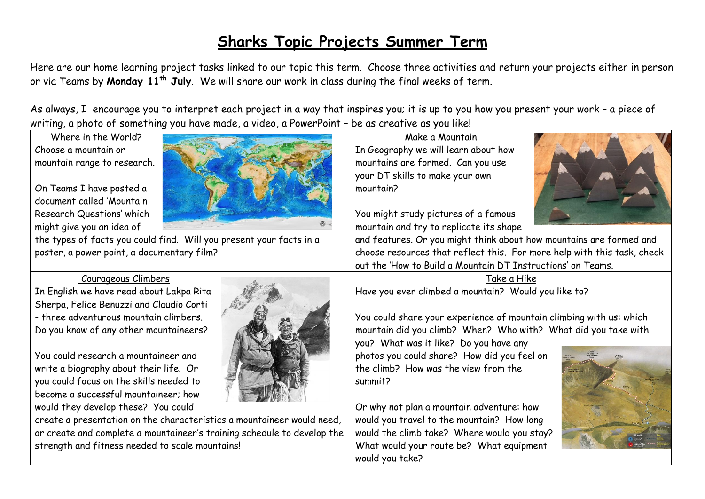# **Sharks Topic Projects Summer Term**

Here are our home learning project tasks linked to our topic this term. Choose three activities and return your projects either in person or via Teams by **Monday 11th July**. We will share our work in class during the final weeks of term.

As always, I encourage you to interpret each project in a way that inspires you; it is up to you how you present your work – a piece of writing, a photo of something you have made, a video, a PowerPoint – be as creative as you like!

Where in the World? Choose a mountain or mountain range to research.

On Teams I have posted a document called 'Mountain Research Questions' which might give you an idea of

the types of facts you could find. Will you present your facts in a poster, a power point, a documentary film?

## Courageous Climbers

In English we have read about Lakpa Rita Sherpa, Felice Benuzzi and Claudio Corti - three adventurous mountain climbers. Do you know of any other mountaineers?

You could research a mountaineer and write a biography about their life. Or you could focus on the skills needed to become a successful mountaineer; how would they develop these? You could



create a presentation on the characteristics a mountaineer would need, or create and complete a mountaineer's training schedule to develop the strength and fitness needed to scale mountains!

Make a Mountain In Geography we will learn about how mountains are formed. Can you use your DT skills to make your own mountain?

You might study pictures of a famous mountain and try to replicate its shape



and features. Or you might think about how mountains are formed and choose resources that reflect this. For more help with this task, check out the 'How to Build a Mountain DT Instructions' on Teams.

## Take a Hike Have you ever climbed a mountain? Would you like to?

You could share your experience of mountain climbing with us: which mountain did you climb? When? Who with? What did you take with

you? What was it like? Do you have any photos you could share? How did you feel on the climb? How was the view from the summit?

Or why not plan a mountain adventure: how would you travel to the mountain? How long would the climb take? Where would you stay? What would your route be? What equipment would you take?